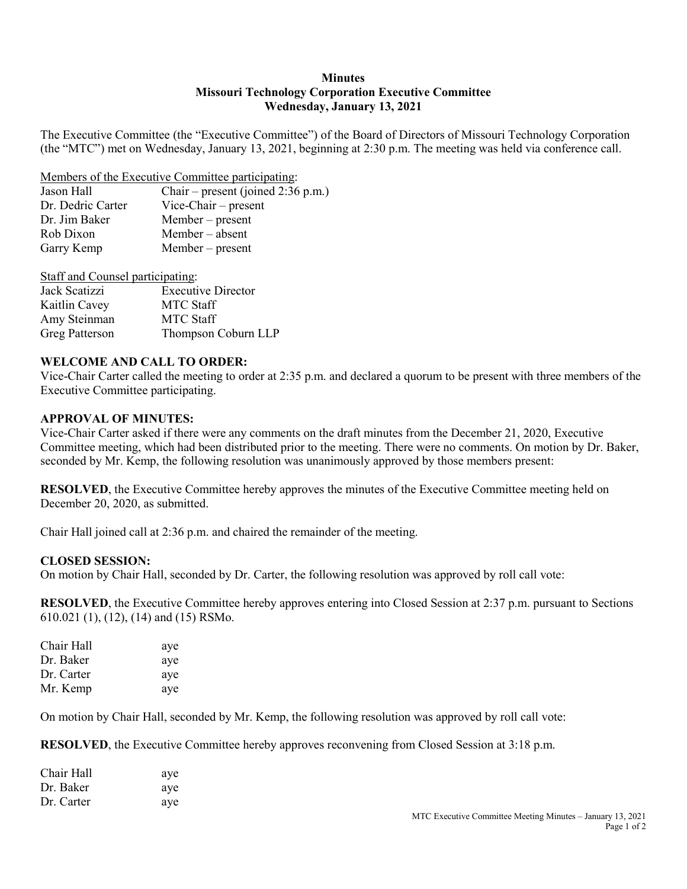#### **Minutes Missouri Technology Corporation Executive Committee Wednesday, January 13, 2021**

The Executive Committee (the "Executive Committee") of the Board of Directors of Missouri Technology Corporation (the "MTC") met on Wednesday, January 13, 2021, beginning at 2:30 p.m. The meeting was held via conference call.

Members of the Executive Committee participating:

| Jason Hall        | Chair – present (joined 2:36 p.m.) |
|-------------------|------------------------------------|
| Dr. Dedric Carter | $Vice-Chair - present$             |
| Dr. Jim Baker     | $Member - present$                 |
| Rob Dixon         | Member – absent                    |
| Garry Kemp        | $Member - present$                 |
|                   |                                    |

| <b>Staff and Counsel participating:</b> |                           |  |
|-----------------------------------------|---------------------------|--|
| Jack Scatizzi                           | <b>Executive Director</b> |  |
| Kaitlin Cavey                           | <b>MTC Staff</b>          |  |
| Amy Steinman                            | <b>MTC Staff</b>          |  |
| Greg Patterson                          | Thompson Coburn LLP       |  |

### **WELCOME AND CALL TO ORDER:**

Vice-Chair Carter called the meeting to order at 2:35 p.m. and declared a quorum to be present with three members of the Executive Committee participating.

### **APPROVAL OF MINUTES:**

Vice-Chair Carter asked if there were any comments on the draft minutes from the December 21, 2020, Executive Committee meeting, which had been distributed prior to the meeting. There were no comments. On motion by Dr. Baker, seconded by Mr. Kemp, the following resolution was unanimously approved by those members present:

**RESOLVED**, the Executive Committee hereby approves the minutes of the Executive Committee meeting held on December 20, 2020, as submitted.

Chair Hall joined call at 2:36 p.m. and chaired the remainder of the meeting.

# **CLOSED SESSION:**

On motion by Chair Hall, seconded by Dr. Carter, the following resolution was approved by roll call vote:

**RESOLVED**, the Executive Committee hereby approves entering into Closed Session at 2:37 p.m. pursuant to Sections 610.021 (1), (12), (14) and (15) RSMo.

| Chair Hall | aye |
|------------|-----|
| Dr. Baker  | aye |
| Dr. Carter | aye |
| Mr. Kemp   | aye |

On motion by Chair Hall, seconded by Mr. Kemp, the following resolution was approved by roll call vote:

**RESOLVED**, the Executive Committee hereby approves reconvening from Closed Session at 3:18 p.m.

| Chair Hall | aye |
|------------|-----|
| Dr. Baker  | aye |
| Dr. Carter | aye |